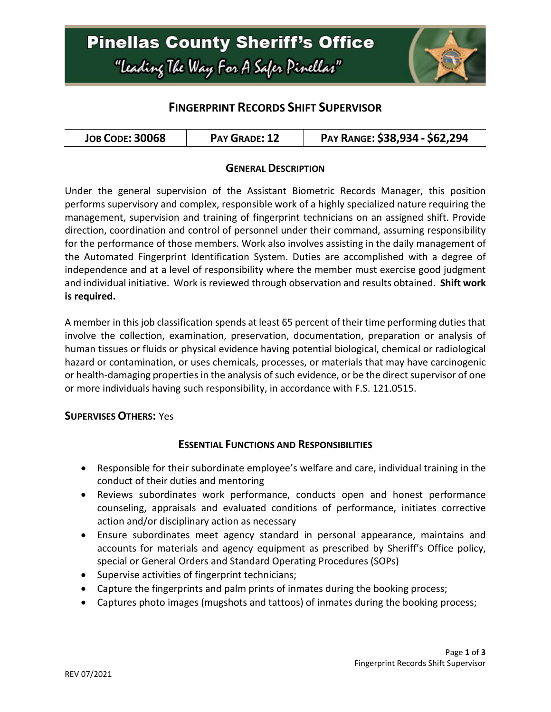

## **FINGERPRINT RECORDS SHIFT SUPERVISOR**

### **GENERAL DESCRIPTION**

Under the general supervision of the Assistant Biometric Records Manager, this position performs supervisory and complex, responsible work of a highly specialized nature requiring the management, supervision and training of fingerprint technicians on an assigned shift. Provide direction, coordination and control of personnel under their command, assuming responsibility for the performance of those members. Work also involves assisting in the daily management of the Automated Fingerprint Identification System. Duties are accomplished with a degree of independence and at a level of responsibility where the member must exercise good judgment and individual initiative. Work is reviewed through observation and results obtained. **Shift work is required.**

A member in this job classification spends at least 65 percent of their time performing duties that involve the collection, examination, preservation, documentation, preparation or analysis of human tissues or fluids or physical evidence having potential biological, chemical or radiological hazard or contamination, or uses chemicals, processes, or materials that may have carcinogenic or health-damaging properties in the analysis of such evidence, or be the direct supervisor of one or more individuals having such responsibility, in accordance with F.S. 121.0515.

#### **SUPERVISES OTHERS:** Yes

### **ESSENTIAL FUNCTIONS AND RESPONSIBILITIES**

- Responsible for their subordinate employee's welfare and care, individual training in the conduct of their duties and mentoring
- Reviews subordinates work performance, conducts open and honest performance counseling, appraisals and evaluated conditions of performance, initiates corrective action and/or disciplinary action as necessary
- Ensure subordinates meet agency standard in personal appearance, maintains and accounts for materials and agency equipment as prescribed by Sheriff's Office policy, special or General Orders and Standard Operating Procedures (SOPs)
- Supervise activities of fingerprint technicians;
- Capture the fingerprints and palm prints of inmates during the booking process;
- Captures photo images (mugshots and tattoos) of inmates during the booking process;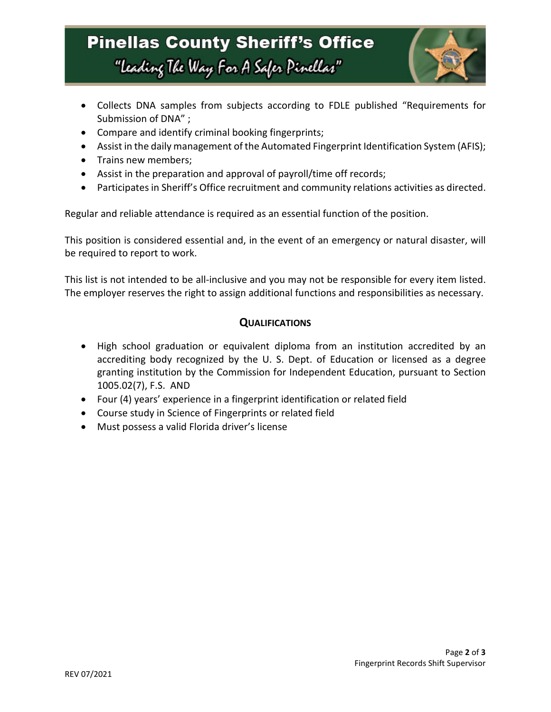# **Pinellas County Sheriff's Office** "Leading The Way For A Safer Pinellar"



- Collects DNA samples from subjects according to FDLE published "Requirements for Submission of DNA" ;
- Compare and identify criminal booking fingerprints;
- Assist in the daily management of the Automated Fingerprint Identification System (AFIS);
- Trains new members;
- Assist in the preparation and approval of payroll/time off records;
- Participates in Sheriff's Office recruitment and community relations activities as directed.

Regular and reliable attendance is required as an essential function of the position.

This position is considered essential and, in the event of an emergency or natural disaster, will be required to report to work.

This list is not intended to be all-inclusive and you may not be responsible for every item listed. The employer reserves the right to assign additional functions and responsibilities as necessary.

### **QUALIFICATIONS**

- High school graduation or equivalent diploma from an institution accredited by an accrediting body recognized by the U. S. Dept. of Education or licensed as a degree granting institution by the Commission for Independent Education, pursuant to Section 1005.02(7), F.S. AND
- Four (4) years' experience in a fingerprint identification or related field
- Course study in Science of Fingerprints or related field
- Must possess a valid Florida driver's license